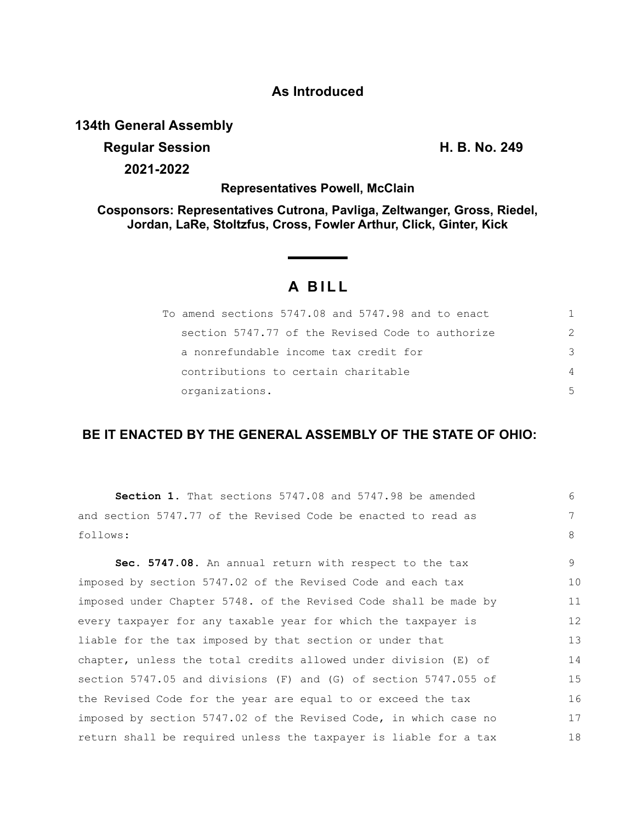### **As Introduced**

### **134th General Assembly**

**Regular Session H. B. No. 249 2021-2022**

**Representatives Powell, McClain**

**Cosponsors: Representatives Cutrona, Pavliga, Zeltwanger, Gross, Riedel, Jordan, LaRe, Stoltzfus, Cross, Fowler Arthur, Click, Ginter, Kick**

# **A BILL**

| To amend sections 5747.08 and 5747.98 and to enact |               |
|----------------------------------------------------|---------------|
| section 5747.77 of the Revised Code to authorize   | $\mathcal{P}$ |
| a nonrefundable income tax credit for              | 3             |
| contributions to certain charitable                | 4             |
| organizations.                                     | 5             |

## **BE IT ENACTED BY THE GENERAL ASSEMBLY OF THE STATE OF OHIO:**

| Section 1. That sections 5747.08 and 5747.98 be amended          | 6  |
|------------------------------------------------------------------|----|
| and section 5747.77 of the Revised Code be enacted to read as    | 7  |
| follows:                                                         | 8  |
| Sec. 5747.08. An annual return with respect to the tax           | 9  |
|                                                                  |    |
| imposed by section 5747.02 of the Revised Code and each tax      | 10 |
| imposed under Chapter 5748. of the Revised Code shall be made by | 11 |
| every taxpayer for any taxable year for which the taxpayer is    | 12 |
| liable for the tax imposed by that section or under that         | 13 |
| chapter, unless the total credits allowed under division (E) of  | 14 |
| section 5747.05 and divisions (F) and (G) of section 5747.055 of | 15 |
| the Revised Code for the year are equal to or exceed the tax     | 16 |
| imposed by section 5747.02 of the Revised Code, in which case no | 17 |
| return shall be required unless the taxpayer is liable for a tax | 18 |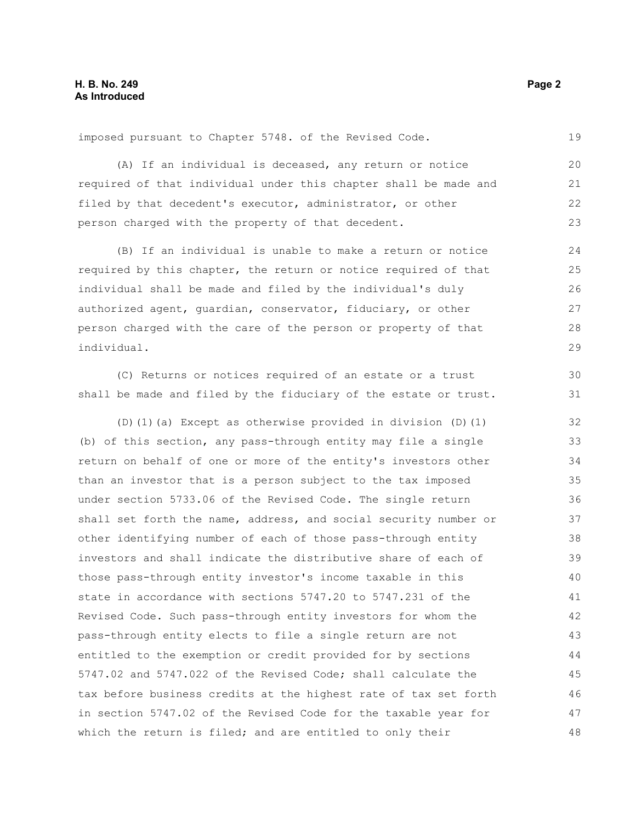imposed pursuant to Chapter 5748. of the Revised Code.

(A) If an individual is deceased, any return or notice required of that individual under this chapter shall be made and filed by that decedent's executor, administrator, or other person charged with the property of that decedent.

(B) If an individual is unable to make a return or notice required by this chapter, the return or notice required of that individual shall be made and filed by the individual's duly authorized agent, guardian, conservator, fiduciary, or other person charged with the care of the person or property of that individual.

(C) Returns or notices required of an estate or a trust shall be made and filed by the fiduciary of the estate or trust.

(D)(1)(a) Except as otherwise provided in division (D)(1) (b) of this section, any pass-through entity may file a single return on behalf of one or more of the entity's investors other than an investor that is a person subject to the tax imposed under section 5733.06 of the Revised Code. The single return shall set forth the name, address, and social security number or other identifying number of each of those pass-through entity investors and shall indicate the distributive share of each of those pass-through entity investor's income taxable in this state in accordance with sections 5747.20 to 5747.231 of the Revised Code. Such pass-through entity investors for whom the pass-through entity elects to file a single return are not entitled to the exemption or credit provided for by sections 5747.02 and 5747.022 of the Revised Code; shall calculate the tax before business credits at the highest rate of tax set forth in section 5747.02 of the Revised Code for the taxable year for which the return is filed; and are entitled to only their 32 33 34 35 36 37 38 39 40 41 42 43 44 45 46 47 48

19

28 29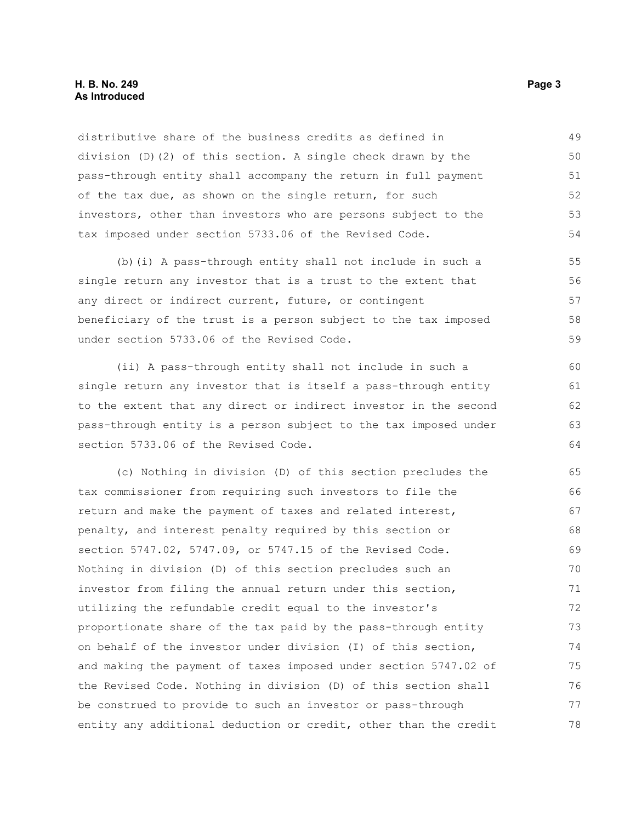### **H. B. No. 249 Page 3 As Introduced**

distributive share of the business credits as defined in division (D)(2) of this section. A single check drawn by the pass-through entity shall accompany the return in full payment of the tax due, as shown on the single return, for such investors, other than investors who are persons subject to the tax imposed under section 5733.06 of the Revised Code. 49 50 51 52 53 54

(b)(i) A pass-through entity shall not include in such a single return any investor that is a trust to the extent that any direct or indirect current, future, or contingent beneficiary of the trust is a person subject to the tax imposed under section 5733.06 of the Revised Code. 55 56 57 58 59

(ii) A pass-through entity shall not include in such a single return any investor that is itself a pass-through entity to the extent that any direct or indirect investor in the second pass-through entity is a person subject to the tax imposed under section 5733.06 of the Revised Code.

(c) Nothing in division (D) of this section precludes the tax commissioner from requiring such investors to file the return and make the payment of taxes and related interest, penalty, and interest penalty required by this section or section 5747.02, 5747.09, or 5747.15 of the Revised Code. Nothing in division (D) of this section precludes such an investor from filing the annual return under this section, utilizing the refundable credit equal to the investor's proportionate share of the tax paid by the pass-through entity on behalf of the investor under division (I) of this section, and making the payment of taxes imposed under section 5747.02 of the Revised Code. Nothing in division (D) of this section shall be construed to provide to such an investor or pass-through entity any additional deduction or credit, other than the credit 65 66 67 68 69 70 71 72 73 74 75 76 77 78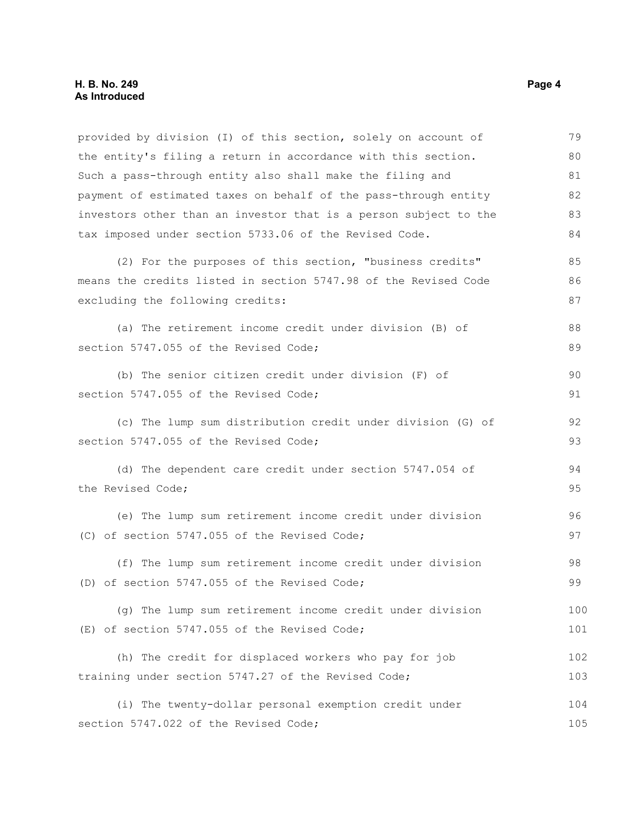| provided by division (I) of this section, solely on account of   | 79  |
|------------------------------------------------------------------|-----|
| the entity's filing a return in accordance with this section.    | 80  |
| Such a pass-through entity also shall make the filing and        | 81  |
| payment of estimated taxes on behalf of the pass-through entity  | 82  |
| investors other than an investor that is a person subject to the | 83  |
| tax imposed under section 5733.06 of the Revised Code.           | 84  |
| (2) For the purposes of this section, "business credits"         | 85  |
| means the credits listed in section 5747.98 of the Revised Code  | 86  |
| excluding the following credits:                                 | 87  |
| (a) The retirement income credit under division (B) of           | 88  |
| section 5747.055 of the Revised Code;                            | 89  |
| (b) The senior citizen credit under division (F) of              | 90  |
| section 5747.055 of the Revised Code;                            | 91  |
| (c) The lump sum distribution credit under division (G) of       | 92  |
| section 5747.055 of the Revised Code;                            | 93  |
| (d) The dependent care credit under section 5747.054 of          | 94  |
| the Revised Code;                                                | 95  |
| (e) The lump sum retirement income credit under division         | 96  |
| (C) of section 5747.055 of the Revised Code;                     | 97  |
| (f) The lump sum retirement income credit under division         | 98  |
| (D) of section 5747.055 of the Revised Code;                     | 99  |
| (g) The lump sum retirement income credit under division         | 100 |
| (E) of section 5747.055 of the Revised Code;                     | 101 |
| (h) The credit for displaced workers who pay for job             | 102 |
| training under section 5747.27 of the Revised Code;              | 103 |
| (i) The twenty-dollar personal exemption credit under            | 104 |
| section 5747.022 of the Revised Code;                            | 105 |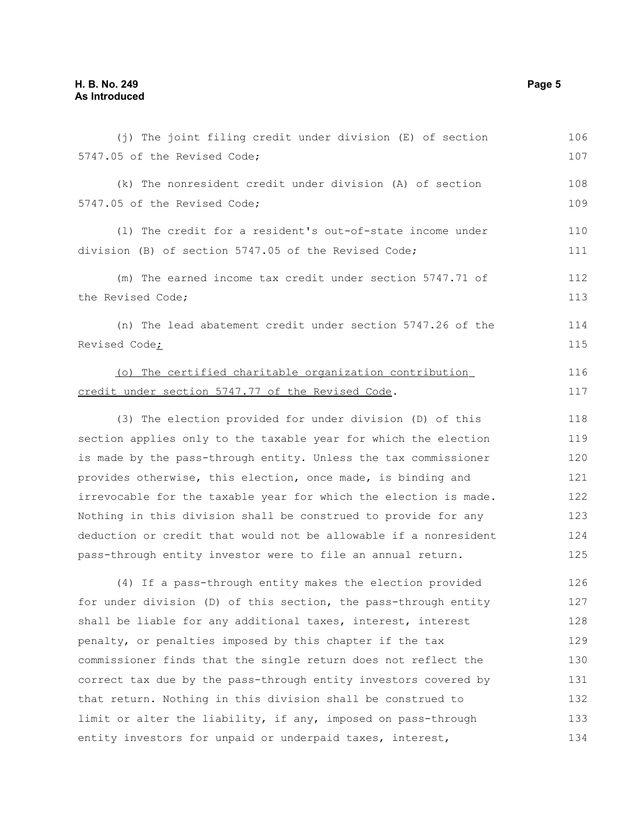| (j) The joint filing credit under division (E) of section        | 106 |
|------------------------------------------------------------------|-----|
| 5747.05 of the Revised Code;                                     | 107 |
| (k) The nonresident credit under division (A) of section         | 108 |
| 5747.05 of the Revised Code;                                     | 109 |
| (1) The credit for a resident's out-of-state income under        | 110 |
| division (B) of section 5747.05 of the Revised Code;             | 111 |
| (m) The earned income tax credit under section 5747.71 of        | 112 |
| the Revised Code;                                                | 113 |
| (n) The lead abatement credit under section 5747.26 of the       | 114 |
| Revised Code;                                                    | 115 |
| (o) The certified charitable organization contribution           | 116 |
| credit under section 5747.77 of the Revised Code.                | 117 |
| (3) The election provided for under division (D) of this         | 118 |
| section applies only to the taxable year for which the election  | 119 |
| is made by the pass-through entity. Unless the tax commissioner  | 120 |
| provides otherwise, this election, once made, is binding and     | 121 |
| irrevocable for the taxable year for which the election is made. | 122 |
| Nothing in this division shall be construed to provide for any   | 123 |
| deduction or credit that would not be allowable if a nonresident | 124 |
| pass-through entity investor were to file an annual return.      | 125 |
| (4) If a pass-through entity makes the election provided         | 126 |
| for under division (D) of this section, the pass-through entity  | 127 |
| shall be liable for any additional taxes, interest, interest     | 128 |
| penalty, or penalties imposed by this chapter if the tax         | 129 |
| commissioner finds that the single return does not reflect the   | 130 |
| correct tax due by the pass-through entity investors covered by  | 131 |
| that return. Nothing in this division shall be construed to      | 132 |
| limit or alter the liability, if any, imposed on pass-through    | 133 |
| entity investors for unpaid or underpaid taxes, interest,        | 134 |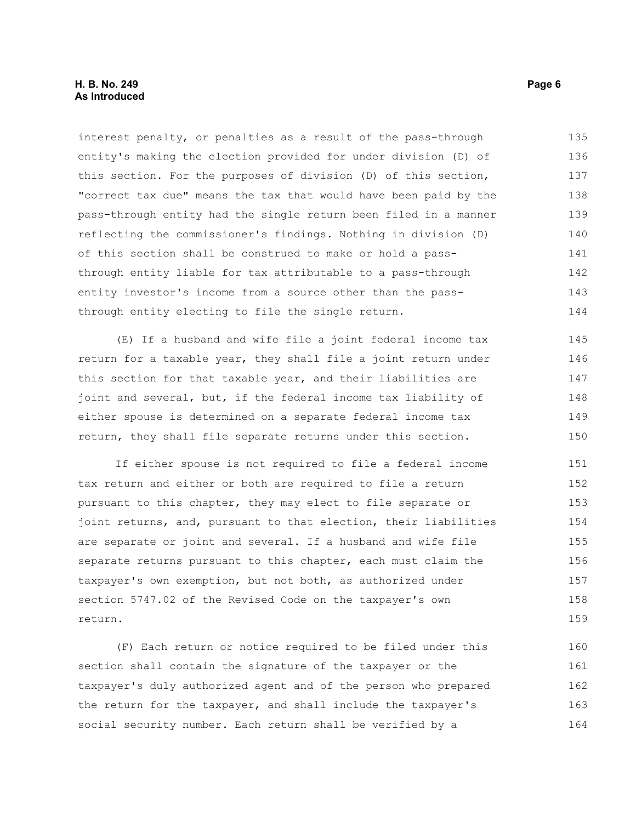### **H. B. No. 249** Page 6 **As Introduced**

interest penalty, or penalties as a result of the pass-through entity's making the election provided for under division (D) of this section. For the purposes of division (D) of this section, "correct tax due" means the tax that would have been paid by the pass-through entity had the single return been filed in a manner reflecting the commissioner's findings. Nothing in division (D) of this section shall be construed to make or hold a passthrough entity liable for tax attributable to a pass-through entity investor's income from a source other than the passthrough entity electing to file the single return. 135 136 137 138 139 140 141 142 143 144

(E) If a husband and wife file a joint federal income tax return for a taxable year, they shall file a joint return under this section for that taxable year, and their liabilities are joint and several, but, if the federal income tax liability of either spouse is determined on a separate federal income tax return, they shall file separate returns under this section. 145 146 147 148 149 150

If either spouse is not required to file a federal income tax return and either or both are required to file a return pursuant to this chapter, they may elect to file separate or joint returns, and, pursuant to that election, their liabilities are separate or joint and several. If a husband and wife file separate returns pursuant to this chapter, each must claim the taxpayer's own exemption, but not both, as authorized under section 5747.02 of the Revised Code on the taxpayer's own return. 151 152 153 154 155 156 157 158 159

(F) Each return or notice required to be filed under this section shall contain the signature of the taxpayer or the taxpayer's duly authorized agent and of the person who prepared the return for the taxpayer, and shall include the taxpayer's social security number. Each return shall be verified by a 160 161 162 163 164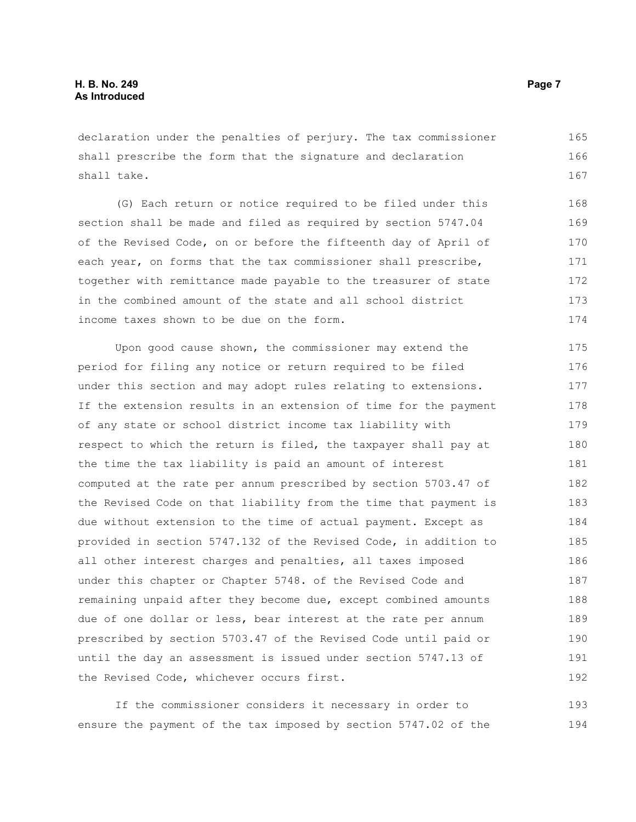declaration under the penalties of perjury. The tax commissioner shall prescribe the form that the signature and declaration shall take. 165 166 167

(G) Each return or notice required to be filed under this section shall be made and filed as required by section 5747.04 of the Revised Code, on or before the fifteenth day of April of each year, on forms that the tax commissioner shall prescribe, together with remittance made payable to the treasurer of state in the combined amount of the state and all school district income taxes shown to be due on the form. 168 169 170 171 172 173 174

Upon good cause shown, the commissioner may extend the period for filing any notice or return required to be filed under this section and may adopt rules relating to extensions. If the extension results in an extension of time for the payment of any state or school district income tax liability with respect to which the return is filed, the taxpayer shall pay at the time the tax liability is paid an amount of interest computed at the rate per annum prescribed by section 5703.47 of the Revised Code on that liability from the time that payment is due without extension to the time of actual payment. Except as provided in section 5747.132 of the Revised Code, in addition to all other interest charges and penalties, all taxes imposed under this chapter or Chapter 5748. of the Revised Code and remaining unpaid after they become due, except combined amounts due of one dollar or less, bear interest at the rate per annum prescribed by section 5703.47 of the Revised Code until paid or until the day an assessment is issued under section 5747.13 of the Revised Code, whichever occurs first. 175 176 177 178 179 180 181 182 183 184 185 186 187 188 189 190 191 192

If the commissioner considers it necessary in order to ensure the payment of the tax imposed by section 5747.02 of the 193 194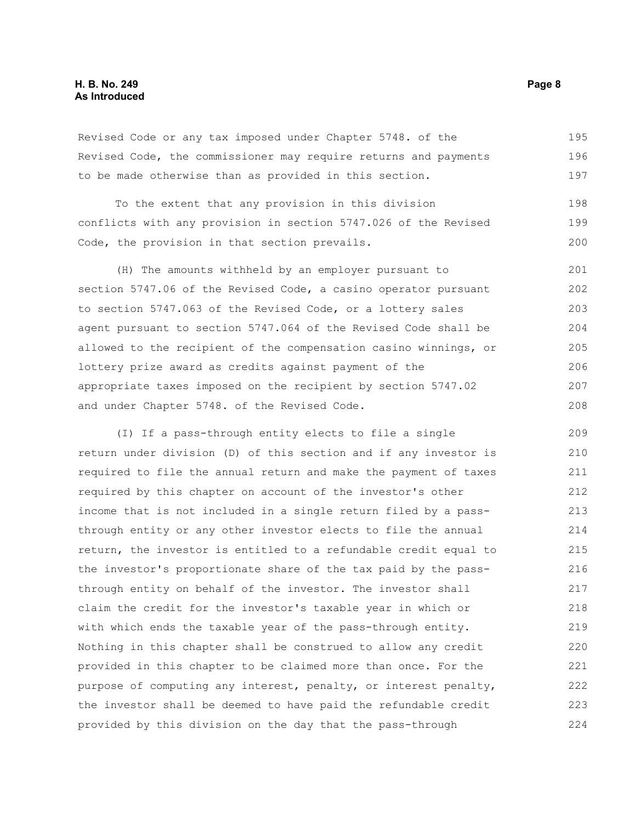### **H. B. No. 249** Page 8 **As Introduced**

Revised Code or any tax imposed under Chapter 5748. of the Revised Code, the commissioner may require returns and payments to be made otherwise than as provided in this section. 195 196 197

| To the extent that any provision in this division               | 198 |
|-----------------------------------------------------------------|-----|
| conflicts with any provision in section 5747.026 of the Revised | 199 |
| Code, the provision in that section prevails.                   | 200 |

(H) The amounts withheld by an employer pursuant to section 5747.06 of the Revised Code, a casino operator pursuant to section 5747.063 of the Revised Code, or a lottery sales agent pursuant to section 5747.064 of the Revised Code shall be allowed to the recipient of the compensation casino winnings, or lottery prize award as credits against payment of the appropriate taxes imposed on the recipient by section 5747.02 and under Chapter 5748. of the Revised Code. 201 202 203 204 205 206 207 208

(I) If a pass-through entity elects to file a single return under division (D) of this section and if any investor is required to file the annual return and make the payment of taxes required by this chapter on account of the investor's other income that is not included in a single return filed by a passthrough entity or any other investor elects to file the annual return, the investor is entitled to a refundable credit equal to the investor's proportionate share of the tax paid by the passthrough entity on behalf of the investor. The investor shall claim the credit for the investor's taxable year in which or with which ends the taxable year of the pass-through entity. Nothing in this chapter shall be construed to allow any credit provided in this chapter to be claimed more than once. For the purpose of computing any interest, penalty, or interest penalty, the investor shall be deemed to have paid the refundable credit provided by this division on the day that the pass-through 209 210 211 212 213 214 215 216 217 218 219 220 221 222 223 224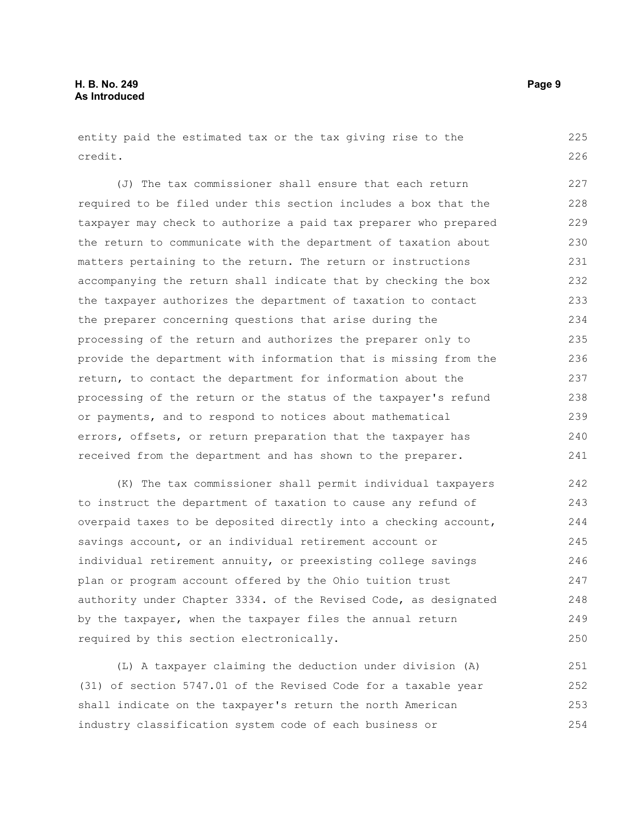entity paid the estimated tax or the tax giving rise to the credit. 225 226

(J) The tax commissioner shall ensure that each return required to be filed under this section includes a box that the taxpayer may check to authorize a paid tax preparer who prepared the return to communicate with the department of taxation about matters pertaining to the return. The return or instructions accompanying the return shall indicate that by checking the box the taxpayer authorizes the department of taxation to contact the preparer concerning questions that arise during the processing of the return and authorizes the preparer only to provide the department with information that is missing from the return, to contact the department for information about the processing of the return or the status of the taxpayer's refund or payments, and to respond to notices about mathematical errors, offsets, or return preparation that the taxpayer has received from the department and has shown to the preparer. 227 228 229 230 231 232 233 234 235 236 237 238 239 240 241

(K) The tax commissioner shall permit individual taxpayers to instruct the department of taxation to cause any refund of overpaid taxes to be deposited directly into a checking account, savings account, or an individual retirement account or individual retirement annuity, or preexisting college savings plan or program account offered by the Ohio tuition trust authority under Chapter 3334. of the Revised Code, as designated by the taxpayer, when the taxpayer files the annual return required by this section electronically. 242 243 244 245 246 247 248 249 250

(L) A taxpayer claiming the deduction under division (A) (31) of section 5747.01 of the Revised Code for a taxable year shall indicate on the taxpayer's return the north American industry classification system code of each business or 251 252 253 254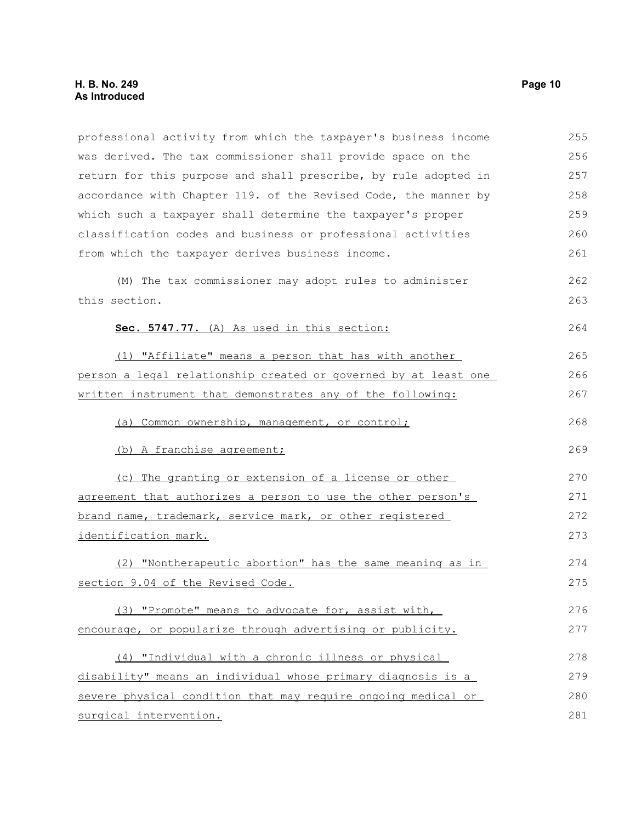professional activity from which the taxpayer's business income was derived. The tax commissioner shall provide space on the return for this purpose and shall prescribe, by rule adopted in accordance with Chapter 119. of the Revised Code, the manner by which such a taxpayer shall determine the taxpayer's proper classification codes and business or professional activities from which the taxpayer derives business income. (M) The tax commissioner may adopt rules to administer this section. **Sec. 5747.77.** (A) As used in this section: (1) "Affiliate" means a person that has with another person a legal relationship created or governed by at least one written instrument that demonstrates any of the following: (a) Common ownership, management, or control; (b) A franchise agreement; (c) The granting or extension of a license or other agreement that authorizes a person to use the other person's brand name, trademark, service mark, or other registered identification mark. (2) "Nontherapeutic abortion" has the same meaning as in section 9.04 of the Revised Code. (3) "Promote" means to advocate for, assist with, encourage, or popularize through advertising or publicity. (4) "Individual with a chronic illness or physical disability" means an individual whose primary diagnosis is a severe physical condition that may require ongoing medical or surgical intervention. 255 256 257 258 259 260 261 262 263 264 265 266 267 268 269 270 271 272 273 274 275 276 277 278 279 280 281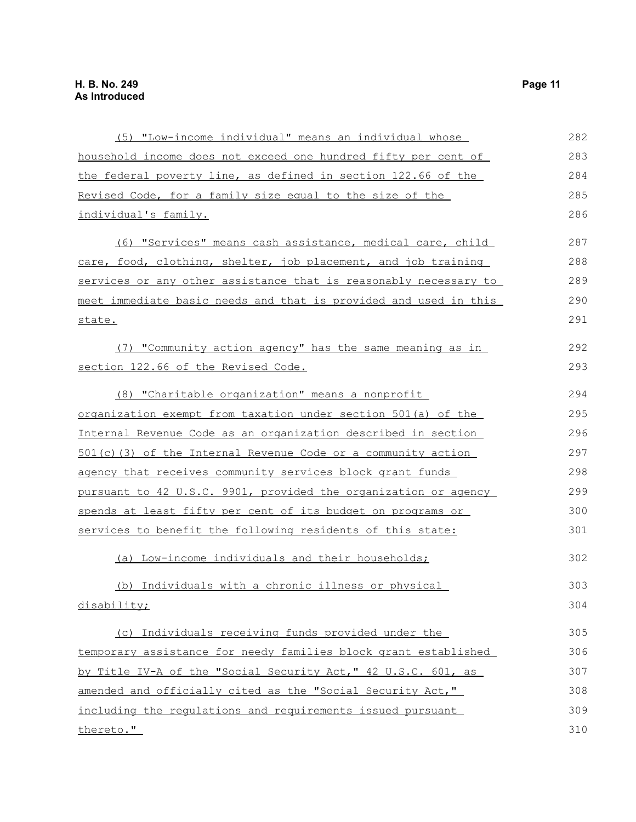| (5) "Low-income individual" means an individual whose                    | 282 |
|--------------------------------------------------------------------------|-----|
| household income does not exceed one hundred fifty per cent of           | 283 |
| the federal poverty line, as defined in section 122.66 of the            | 284 |
| Revised Code, for a family size equal to the size of the                 | 285 |
| individual's family.                                                     | 286 |
| (6) "Services" means cash assistance, medical care, child                | 287 |
| care, food, clothing, shelter, job placement, and job training           | 288 |
| services or any other assistance that is reasonably necessary to         | 289 |
| <u>meet immediate basic needs and that is provided and used in this </u> | 290 |
| state.                                                                   | 291 |
| (7) "Community action agency" has the same meaning as in                 | 292 |
| section 122.66 of the Revised Code.                                      | 293 |
| (8) "Charitable organization" means a nonprofit                          | 294 |
| organization exempt from taxation under section 501(a) of the            | 295 |
| Internal Revenue Code as an organization described in section            | 296 |
| <u>501(c)(3) of the Internal Revenue Code or a community action</u>      | 297 |
| agency that receives community services block grant funds                | 298 |
| pursuant to 42 U.S.C. 9901, provided the organization or agency          | 299 |
| spends at least fifty per cent of its budget on programs or              | 300 |
| services to benefit the following residents of this state:               | 301 |
| (a) Low-income individuals and their households;                         | 302 |
| (b) Individuals with a chronic illness or physical                       | 303 |
| disability;                                                              | 304 |
| (c) Individuals receiving funds provided under the                       | 305 |
| temporary assistance for needy families block grant established          | 306 |
| by Title IV-A of the "Social Security Act," 42 U.S.C. 601, as            | 307 |
| amended and officially cited as the "Social Security Act,"               | 308 |
| including the regulations and requirements issued pursuant               | 309 |
| thereto."                                                                | 310 |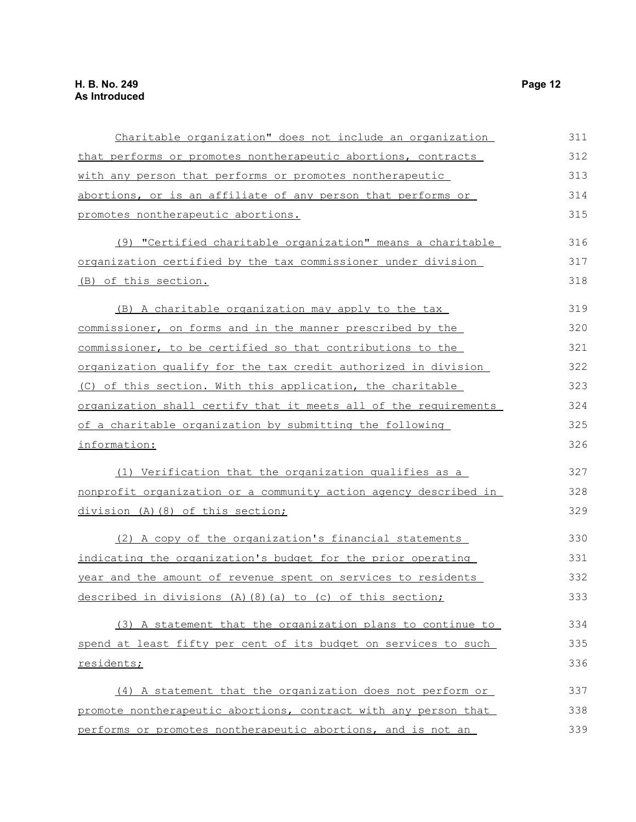| Charitable organization" does not include an organization        | 311 |
|------------------------------------------------------------------|-----|
| that performs or promotes nontherapeutic abortions, contracts    | 312 |
| with any person that performs or promotes nontherapeutic         | 313 |
| abortions, or is an affiliate of any person that performs or     | 314 |
| promotes nontherapeutic abortions.                               | 315 |
| (9) "Certified charitable organization" means a charitable       | 316 |
| organization certified by the tax commissioner under division    | 317 |
| (B) of this section.                                             | 318 |
| (B) A charitable organization may apply to the tax               | 319 |
| commissioner, on forms and in the manner prescribed by the       | 320 |
| commissioner, to be certified so that contributions to the       | 321 |
| organization qualify for the tax credit authorized in division   | 322 |
| (C) of this section. With this application, the charitable       | 323 |
| organization shall certify that it meets all of the requirements | 324 |
| of a charitable organization by submitting the following         | 325 |
| information:                                                     | 326 |
| (1) Verification that the organization qualifies as a            | 327 |
| nonprofit organization or a community action agency described in | 328 |
| division (A) (8) of this section;                                | 329 |
| (2) A copy of the organization's financial statements            | 330 |
| indicating the organization's budget for the prior operating     | 331 |
| year and the amount of revenue spent on services to residents    | 332 |
| described in divisions (A)(8)(a) to (c) of this section;         | 333 |
| (3) A statement that the organization plans to continue to       | 334 |
| spend at least fifty per cent of its budget on services to such  | 335 |
| residents;                                                       | 336 |
| (4) A statement that the organization does not perform or        | 337 |
| promote nontherapeutic abortions, contract with any person that  | 338 |
| performs or promotes nontherapeutic abortions, and is not an     | 339 |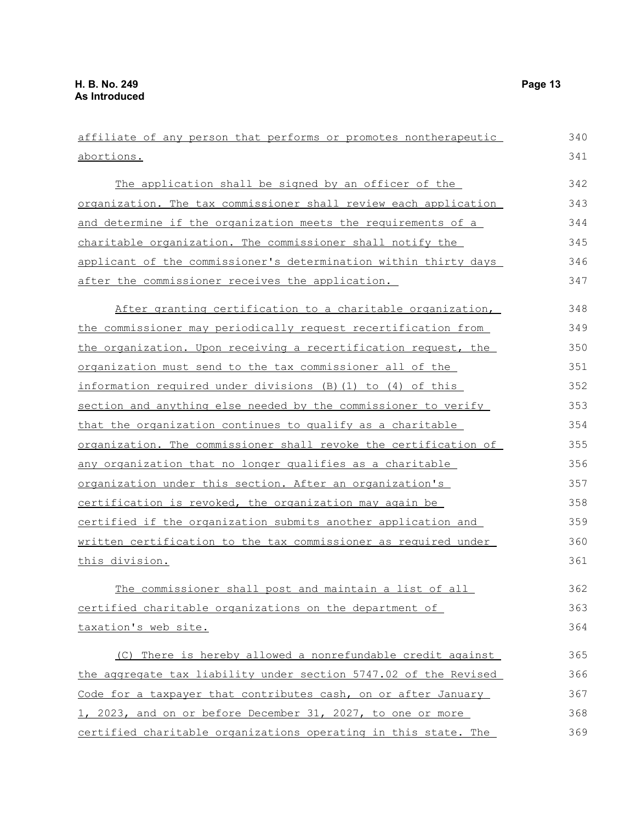affiliate of any person that performs or promotes nontherapeutic abortions. The application shall be signed by an officer of the organization. The tax commissioner shall review each application and determine if the organization meets the requirements of a charitable organization. The commissioner shall notify the applicant of the commissioner's determination within thirty days after the commissioner receives the application. After granting certification to a charitable organization, the commissioner may periodically request recertification from the organization. Upon receiving a recertification request, the organization must send to the tax commissioner all of the information required under divisions (B)(1) to (4) of this section and anything else needed by the commissioner to verify that the organization continues to qualify as a charitable organization. The commissioner shall revoke the certification of any organization that no longer qualifies as a charitable organization under this section. After an organization's certification is revoked, the organization may again be certified if the organization submits another application and written certification to the tax commissioner as required under this division. The commissioner shall post and maintain a list of all certified charitable organizations on the department of taxation's web site. (C) There is hereby allowed a nonrefundable credit against the aggregate tax liability under section 5747.02 of the Revised Code for a taxpayer that contributes cash, on or after January 1, 2023, and on or before December 31, 2027, to one or more 340 341 342 343 344 345 346 347 348 349 350 351 352 353 354 355 356 357 358 359 360 361 362 363 364 365 366 367 368

certified charitable organizations operating in this state. The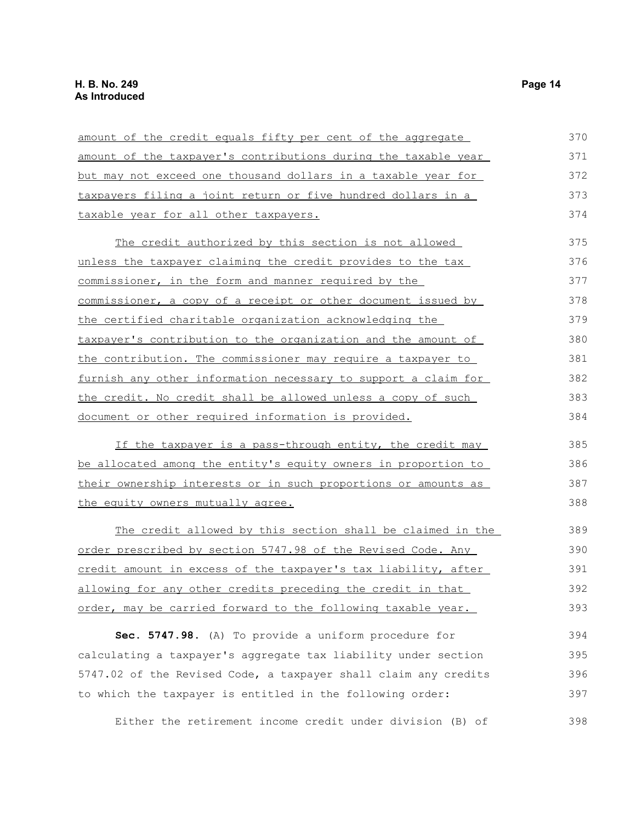| amount of the credit equals fifty per cent of the aggregate           | 370 |
|-----------------------------------------------------------------------|-----|
| amount of the taxpayer's contributions during the taxable year        | 371 |
| but may not exceed one thousand dollars in a taxable year for         | 372 |
| taxpayers filing a joint return or five hundred dollars in a          | 373 |
| taxable year for all other taxpayers.                                 | 374 |
| The credit authorized by this section is not allowed                  | 375 |
| unless the taxpayer claiming the credit provides to the tax           | 376 |
| commissioner, in the form and manner required by the                  | 377 |
| commissioner, a copy of a receipt or other document issued by         | 378 |
| the certified charitable organization acknowledging the               | 379 |
| taxpayer's contribution to the organization and the amount of         | 380 |
| the contribution. The commissioner may require a taxpayer to          | 381 |
| <u>furnish any other information necessary to support a claim for</u> | 382 |
| the credit. No credit shall be allowed unless a copy of such          | 383 |
| document or other required information is provided.                   | 384 |
| If the taxpayer is a pass-through entity, the credit may              | 385 |
| be allocated among the entity's equity owners in proportion to        | 386 |
| their ownership interests or in such proportions or amounts as        | 387 |
| the equity owners mutually agree.                                     | 388 |
| The credit allowed by this section shall be claimed in the            | 389 |
| order prescribed by section 5747.98 of the Revised Code. Any          | 390 |
| credit amount in excess of the taxpayer's tax liability, after        | 391 |
| allowing for any other credits preceding the credit in that           | 392 |
| order, may be carried forward to the following taxable year.          | 393 |
| Sec. 5747.98. (A) To provide a uniform procedure for                  | 394 |
| calculating a taxpayer's aggregate tax liability under section        | 395 |
| 5747.02 of the Revised Code, a taxpayer shall claim any credits       | 396 |
| to which the taxpayer is entitled in the following order:             | 397 |
| Either the retirement income credit under division (B) of             | 398 |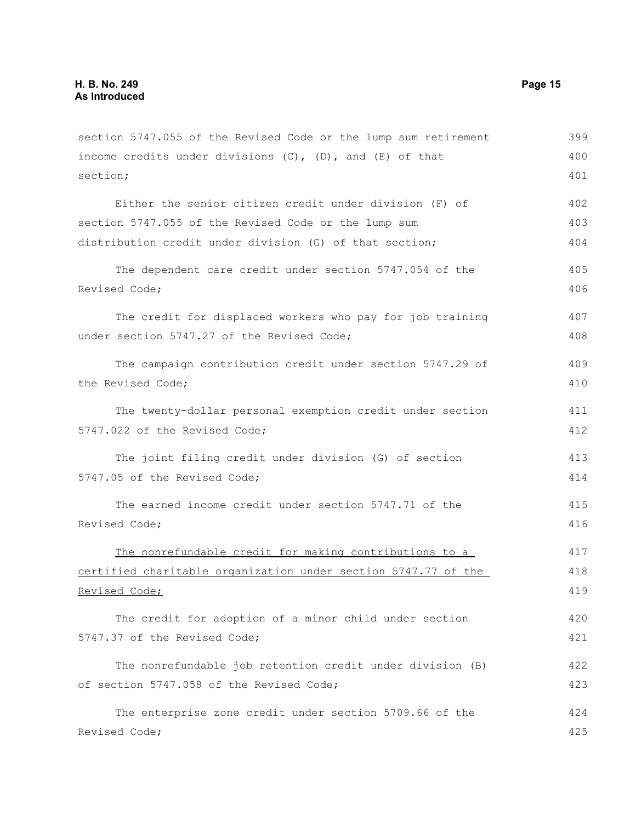section 5747.055 of the Revised Code or the lump sum retirement income credits under divisions  $(C)$ ,  $(D)$ , and  $(E)$  of that section; Either the senior citizen credit under division (F) of section 5747.055 of the Revised Code or the lump sum distribution credit under division (G) of that section; The dependent care credit under section 5747.054 of the Revised Code; The credit for displaced workers who pay for job training under section 5747.27 of the Revised Code; The campaign contribution credit under section 5747.29 of the Revised Code; The twenty-dollar personal exemption credit under section 5747.022 of the Revised Code; The joint filing credit under division (G) of section 5747.05 of the Revised Code; The earned income credit under section 5747.71 of the Revised Code; The nonrefundable credit for making contributions to a certified charitable organization under section 5747.77 of the Revised Code; The credit for adoption of a minor child under section 5747.37 of the Revised Code; The nonrefundable job retention credit under division (B) of section 5747.058 of the Revised Code; The enterprise zone credit under section 5709.66 of the Revised Code; 399 400 401 402 403 404 405 406 407 408 409 410 411 412 413 414 415 416 417 418 419 420 421 422 423 424 425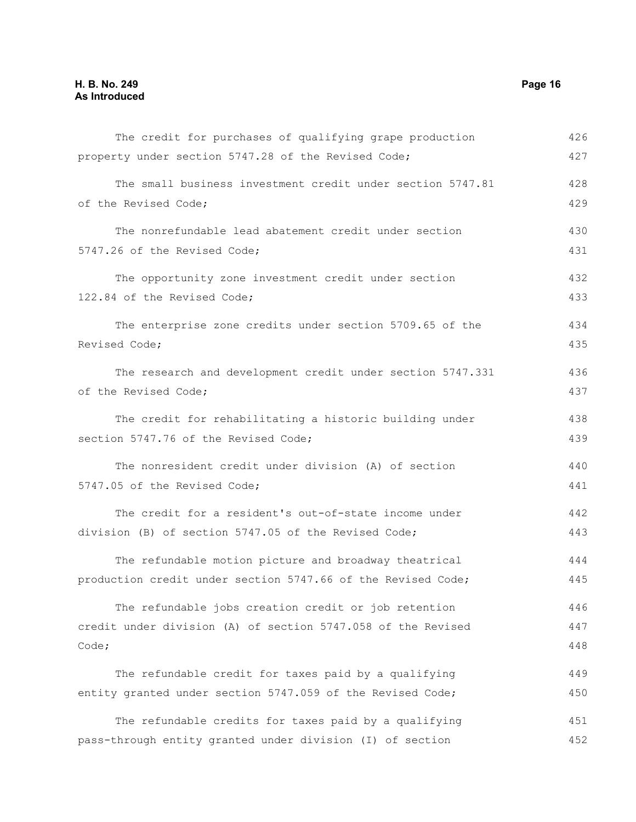| The credit for purchases of qualifying grape production      | 426 |
|--------------------------------------------------------------|-----|
| property under section 5747.28 of the Revised Code;          | 427 |
| The small business investment credit under section 5747.81   | 428 |
| of the Revised Code;                                         | 429 |
| The nonrefundable lead abatement credit under section        | 430 |
| 5747.26 of the Revised Code;                                 | 431 |
| The opportunity zone investment credit under section         | 432 |
| 122.84 of the Revised Code;                                  | 433 |
| The enterprise zone credits under section 5709.65 of the     | 434 |
| Revised Code;                                                | 435 |
| The research and development credit under section 5747.331   | 436 |
| of the Revised Code;                                         | 437 |
| The credit for rehabilitating a historic building under      | 438 |
| section 5747.76 of the Revised Code;                         | 439 |
| The nonresident credit under division (A) of section         | 440 |
| 5747.05 of the Revised Code;                                 | 441 |
| The credit for a resident's out-of-state income under        | 442 |
| division (B) of section 5747.05 of the Revised Code;         | 443 |
| The refundable motion picture and broadway theatrical        | 444 |
| production credit under section 5747.66 of the Revised Code; | 445 |
| The refundable jobs creation credit or job retention         | 446 |
| credit under division (A) of section 5747.058 of the Revised | 447 |
| Code;                                                        | 448 |
| The refundable credit for taxes paid by a qualifying         | 449 |
| entity granted under section 5747.059 of the Revised Code;   | 450 |
| The refundable credits for taxes paid by a qualifying        | 451 |
| pass-through entity granted under division (I) of section    | 452 |